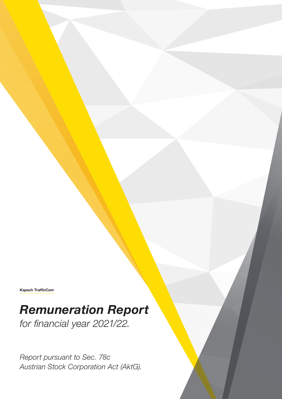*Kapsch TrafficCom*

# *Remuneration Report*

*for financial year 2021/22.* 

*Report pursuant to Sec. 78c Austrian Stock Corporation Act (AktG).*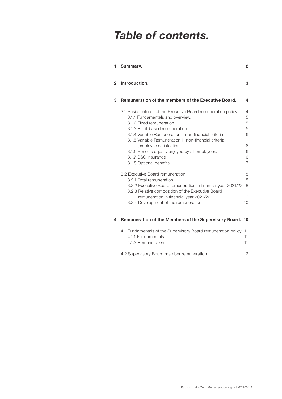# *Table of contents.*

| 1              | Summary.                                                                                                                                                                                                                                                                                                                                                                                                                  | 2                                                      |
|----------------|---------------------------------------------------------------------------------------------------------------------------------------------------------------------------------------------------------------------------------------------------------------------------------------------------------------------------------------------------------------------------------------------------------------------------|--------------------------------------------------------|
| $\overline{2}$ | Introduction.                                                                                                                                                                                                                                                                                                                                                                                                             | з                                                      |
| 3              | Remuneration of the members of the Executive Board.                                                                                                                                                                                                                                                                                                                                                                       | 4                                                      |
|                | 3.1 Basic features of the Executive Board remuneration policy.<br>3.1.1 Fundamentals and overview.<br>3.1.2 Fixed remuneration.<br>3.1.3 Profit-based remuneration.<br>3.1.4 Variable Remuneration I: non-financial criteria.<br>3.1.5 Variable Remuneration II: non-financial criteria<br>(employee satisfaction).<br>3.1.6 Benefits equally enjoyed by all employees.<br>3.1.7 D&O insurance<br>3.1.8 Optional benefits | 4<br>5<br>5<br>5<br>6<br>6<br>6<br>6<br>$\overline{7}$ |
|                | 3.2 Executive Board remuneration.<br>3.2.1 Total remuneration.<br>3.2.2 Executive Board remuneration in financial year 2021/22.<br>3.2.3 Relative composition of the Executive Board<br>remuneration in financial year 2021/22.<br>3.2.4 Development of the remuneration.                                                                                                                                                 | 8<br>8<br>8<br>9<br>10                                 |
| 4              | Remuneration of the Members of the Supervisory Board. 10                                                                                                                                                                                                                                                                                                                                                                  |                                                        |
|                | 4.1 Fundamentals of the Supervisory Board remuneration policy. 11<br>4.1.1 Fundamentals.                                                                                                                                                                                                                                                                                                                                  | 11                                                     |

- 4.1.2 Remuneration. 11
- 4.2 Supervisory Board member remuneration. 12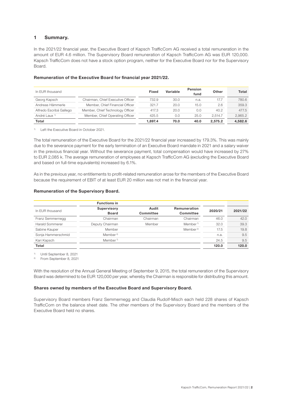# 1 Summary.

In the 2021/22 financial year, the Executive Board of Kapsch TrafficCom AG received a total remuneration in the amount of EUR 4.6 million. The Supervisory Board remuneration of Kapsch TrafficCom AG was EUR 120,000. Kapsch TrafficCom does not have a stock option program, neither for the Executive Board nor for the Supervisory Board.

# Remuneration of the Executive Board for financial year 2021/22.

| In EUR thousand          |                                   | Fixed   | Variable | Pension<br>fund | Other   | Total   |
|--------------------------|-----------------------------------|---------|----------|-----------------|---------|---------|
| Georg Kapsch             | Chairman, Chief Executive Officer | 732.9   | 30.0     | n.a.            | 17.7    | 780.6   |
| Andreas Hämmerle         | Member, Chief Financial Officer   | 321.7   | 20.0     | 15.0            | 2.6     | 359.3   |
| Alfredo Escribá Gallego  | Member, Chief Technology Officer  | 417.3   | 20.0     | 0.0             | 40.2    | 477.5   |
| André Laux <sup>1)</sup> | Member, Chief Operating Officer   | 425.5   | 0.0      | 25.0            | 2.514.7 | 2.965.2 |
| Total                    |                                   | 1.897.4 | 70.0     | 40.0            | 2.575.2 | 4.582.6 |

1) Left the Executive Board in October 2021.

The total remuneration of the Executive Board for the 2021/22 financial year increased by 179.3%. This was mainly due to the severance payment for the early termination of an Executive Board mandate in 2021 and a salary waiver in the previous financial year. Without the severance payment, total compensation would have increased by 27% to EUR 2,085 k. The average remuneration of employees at Kapsch TrafficCom AG (excluding the Executive Board and based on full-time equivalents) increased by 6.1%.

As in the previous year, no entitlements to profit-related remuneration arose for the members of the Executive Board because the requirement of EBIT of at least EUR 20 million was not met in the financial year.

#### Remuneration of the Supervisory Board.

|                    | <b>Functions in</b>                |                    |                                  |         |         |
|--------------------|------------------------------------|--------------------|----------------------------------|---------|---------|
| In EUR thousand    | <b>Supervisory</b><br><b>Board</b> | Audit<br>Committee | Remuneration<br><b>Committee</b> | 2020/21 | 2021/22 |
| Franz Semmernegg   | Chairman                           | Chairman           | Chairman                         | 46.0    | 42.0    |
| Harald Sommerer    | Deputy Chairman                    | Member             | Member <sup>1)</sup>             | 32.0    | 39.3    |
| Sabine Kauper      | Member                             |                    | Member <sup>2)</sup>             | 17.5    | 19.8    |
| Sonja Hammerschmid | Member <sup>2)</sup>               |                    |                                  | n.a.    | 9.5     |
| Kari Kapsch        | Member <sup>1)</sup>               |                    |                                  | 24.5    | 9.5     |
| <b>Total</b>       |                                    |                    |                                  | 120.0   | 120.0   |

1) Until September 8, 2021

2) From September 8, 2021

With the resolution of the Annual General Meeting of September 9, 2015, the total remuneration of the Supervisory Board was determined to be EUR 120,000 per year, whereby the Chairman is responsible for distributing this amount.

#### Shares owned by members of the Executive Board and Supervisory Board.

Supervisory Board members Franz Semmernegg and Claudia Rudolf-Misch each held 228 shares of Kapsch TrafficCom on the balance sheet date. The other members of the Supervisory Board and the members of the Executive Board held no shares.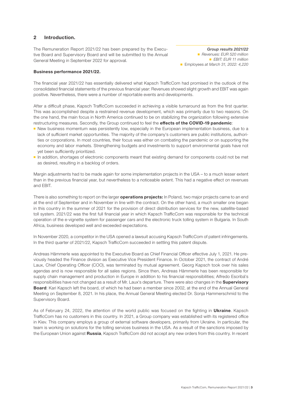# 2 Introduction.

The Remuneration Report 2021/22 has been prepared by the Executive Board and Supervisory Board and will be submitted to the Annual General Meeting in September 2022 for approval.

Business performance 2021/22.

*Group results 2021/22 Revenues: EUR 520 million EBIT: EUR 11 million* Employees *at March 31, 2022: 4,220* 

The financial year 2021/22 has essentially delivered what Kapsch TrafficCom had promised in the outlook of the consolidated financial statements of the previous financial year: Revenues showed slight growth and EBIT was again positive. Nevertheless, there were a number of reportable events and developments.

After a difficult phase, Kapsch TrafficCom succeeded in achieving a visible turnaround as from the first quarter. This was accomplished despite a restrained revenue development, which was primarily due to two reasons. On the one hand, the main focus in North America continued to be on stabilizing the organization following extensive restructuring measures. Secondly, the Group continued to feel the **effects of the COVID-19 pandemic**:

- New business momentum was persistently low, especially in the European implementation business, due to a lack of sufficient market opportunities. The majority of the company's customers are public institutions, authorities or corporations. In most countries, their focus was either on combating the pandemic or on supporting the economy and labor markets. Strengthening budgets and investments to support environmental goals have not yet been sufficiently prioritized.
- In addition, shortages of electronic components meant that existing demand for components could not be met as desired, resulting in a backlog of orders.

Margin adjustments had to be made again for some implementation projects in the USA – to a much lesser extent than in the previous financial year, but nevertheless to a noticeable extent. This had a negative effect on revenues and EBIT.

There is also something to report on the larger **operations projects:** In Poland, two major projects came to an end at the end of September and in November in line with the contract. On the other hand, a much smaller one began in this country in the summer of 2021 for the provision of direct distribution services for the new, satellite-based toll system. 2021/22 was the first full financial year in which Kapsch TrafficCom was responsible for the technical operation of the e-vignette system for passenger cars and the electronic truck tolling system in Bulgaria. In South Africa, business developed well and exceeded expectations.

In November 2020, a competitor in the USA opened a lawsuit accusing Kapsch TrafficCom of patent infringements. In the third quarter of 2021/22, Kapsch TrafficCom succeeded in settling this patent dispute.

Andreas Hämmerle was appointed to the Executive Board as Chief Financial Officer effective July 1, 2021. He previously headed the Finance division as Executive Vice President Finance. In October 2021, the contract of André Laux, Chief Operating Officer (COO), was terminated by mutual agreement. Georg Kapsch took over his sales agendas and is now responsible for all sales regions. Since then, Andreas Hämmerle has been responsible for supply chain management and production in Europe in addition to his financial responsibilities; Alfredo Escribá's responsibilities have not changed as a result of Mr. Laux's departure. There were also changes in the Supervisory **Board:** Kari Kapsch left the board, of which he had been a member since 2002, at the end of the Annual General Meeting on September 8, 2021. In his place, the Annual General Meeting elected Dr. Sonja Hammerschmid to the Supervisory Board.

As of February 24, 2022, the attention of the world public was focused on the fighting in Ukraine. Kapsch TrafficCom has no customers in this country. In 2021, a Group company was established with its registered office in Kiev. This company employs a group of external software developers, primarily from Ukraine. In particular, the team is working on solutions for the tolling services business in the USA. As a result of the sanctions imposed by the European Union against Russia, Kapsch TrafficCom did not accept any new orders from this country. In recent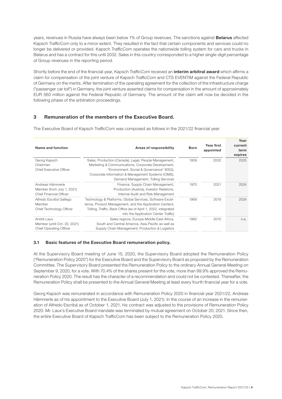years, revenues in Russia have always been below 1% of Group revenues. The sanctions against **Belarus** affected Kapsch TrafficCom only to a minor extent. They resulted in the fact that certain components and services could no longer be delivered or provided. Kapsch TrafficCom operates the nationwide tolling system for cars and trucks in Belarus and has a contract for this until 2032. Sales in this country corresponded to a higher single-digit percentage of Group revenues in the reporting period.

Shortly before the end of the financial year, Kapsch TrafficCom received an *interim arbitral award* which affirms a claim for compensation of the joint venture of Kapsch TrafficCom and CTS EVENTIM against the Federal Republic of Germany on the merits. After termination of the operating agreement for the collection of the infrastructure charge ("passenger car toll") in Germany, the joint venture asserted claims for compensation in the amount of approximately EUR 560 million against the Federal Republic of Germany. The amount of the claim will now be decided in the following phase of the arbitration proceedings.

# 3 Remuneration of the members of the Executive Board.

The Executive Board of Kapsch TrafficCom was composed as follows in the 2021/22 financial year:

| Name and function                                                                | Areas of responsibility                                                                                                                                                                                                                               | <b>Born</b> | Year first<br>appointed | Year<br>current<br>term<br>expires |
|----------------------------------------------------------------------------------|-------------------------------------------------------------------------------------------------------------------------------------------------------------------------------------------------------------------------------------------------------|-------------|-------------------------|------------------------------------|
| Georg Kapsch<br>Chairman<br><b>Chief Executive Officer</b>                       | Sales, Production (Canada), Legal, People Management,<br>Marketing & Communications, Corporate Development,<br>"Environment, Social & Governance" (ESG),<br>Corporate Information & Management Systems (CIMS),<br>Demand Management, Tolling Services | 1959        | 2002                    | 2025                               |
| Andreas Hämmerle<br>Member (from July 1, 2021)<br><b>Chief Financial Officer</b> | Finance, Supply Chain Management,<br>Production (Austria), Investor Relations,<br>Internal Audit and Risk Management                                                                                                                                  | 1970        | 2021                    | 2024                               |
| Alfredo Escribá Gallego<br>Member<br>Chief Technology Officer                    | Technology & Platforms, Global Services, Software Excel-<br>lence, Product Management, and the Application Centers:<br>Tolling, Traffic, Back Office (as of April 1, 2022, integrated<br>into the Application Center Traffic)                         | 1969        | 2019                    | 2024                               |
| André Laux<br>Member (until Oct. 20, 2021)<br><b>Chief Operating Officer</b>     | Sales regions: Europe-Middle East-Africa,<br>South and Central America, Asia-Pacific as well as<br>Supply Chain Management, Production & Logistics                                                                                                    | 1962        | 2010                    | n.a.                               |

#### 3.1 Basic features of the Executive Board remuneration policy.

At the Supervisory Board meeting of June 15, 2020, the Supervisory Board adopted the Remuneration Policy ("Remuneration Policy 2020") for the Executive Board and the Supervisory Board as proposed by the Remuneration Committee. The Supervisory Board presented the Remuneration Policy to the ordinary Annual General Meeting on September 9, 2020, for a vote. With 70.4% of the shares present for the vote, more than 99.9% approved the Remuneration Policy 2020. The result has the character of a recommendation and could not be contested. Thereafter, the Remuneration Policy shall be presented to the Annual General Meeting at least every fourth financial year for a vote.

Georg Kapsch was remunerated in accordance with Remuneration Policy 2020 in financial year 2021/22, Andreas Hämmerle as of his appointment to the Executive Board (July 1, 2021). In the course of an increase in the remuneration of Alfredo Escribá as of October 1, 2021, his contract was adjusted to the provisions of Remuneration Policy 2020. Mr. Laux's Executive Board mandate was terminated by mutual agreement on October 20, 2021. Since then, the entire Executive Board of Kapsch TrafficCom has been subject to the Remuneration Policy 2020.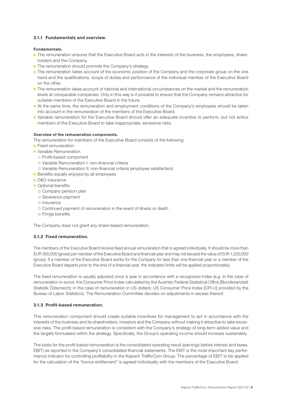# 3.1.1 Fundamentals and overview.

# Fundamentals.

- The remuneration ensures that the Executive Board acts in the interests of the business, the employees, shareholders and the Company.
- The remuneration should promote the Company's strategy.
- The remuneration takes account of the economic position of the Company and the corporate group on the one hand and the qualifications, scope of duties and performance of the individual member of the Executive Board on the other.
- The remuneration takes account of national and international circumstances on the market and the remuneration levels at comparable companies. Only in this way is it possible to ensure that the Company remains attractive for suitable members of the Executive Board in the future.
- At the same time, the remuneration and employment conditions of the Company's employees should be taken into account in the remuneration of the members of the Executive Board.
- Variable remuneration for the Executive Board should offer an adequate incentive to perform, but not entice members of the Executive Board to take inappropriate, excessive risks.

# Overview of the remuneration components.

The remuneration for members of the Executive Board consists of the following:

- Fixed remuneration
- Variable Remuneration
	- Profit-based component
	- Variable Remuneration I: non-financial criteria
	- □ Variable Remuneration II: non-financial criteria (employee satisfaction)
- Benefits equally enjoyed by all employees
- D&O insurance
- Optional benefits
	- Company pension plan
	- □ Severance payment
	- Insurance
	- $\Box$  Continued payment of remuneration in the event of illness or death
	- □ Fringe benefits

The Company does not grant any share-based remuneration.

# 3.1.2 Fixed remuneration.

The members of the Executive Board receive fixed annual remuneration that is agreed individually. It should be more than EUR 300,000 (gross) per member of the Executive Board and financial year and may not exceed the value of EUR 1,200,000 (gross). If a member of the Executive Board works for the Company for less than one financial year or a member of the Executive Board departs prior to the end of a financial year, the indicated limits will be applied proportionately.

The fixed remuneration is usually adjusted once a year in accordance with a recognized index (e.g. in the case of remuneration in euros: the Consumer Price Index calculated by the Austrian Federal Statistical Office [Bundesanstalt Statistik Österreich]; in the case of remuneration in US dollars: US Consumer Price Index [CPI-U] provided by the Bureau of Labor Statistics). The Remuneration Committee decides on adjustments in excess thereof.

#### 3.1.3 Profit-based remuneration.

This remuneration component should create suitable incentives for management to act in accordance with the interests of the business and its shareholders, investors and the Company without making it attractive to take excessive risks. The profit-based remuneration is consistent with the Company's strategy of long-term added value and the targets formulated within the strategy. Specifically, the Group's operating income should increase sustainably.

The basis for the profit-based remuneration is the consolidated operating result (earnings before interest and taxes, EBIT) as reported in the Company's consolidated financial statements. The EBIT is the most important key performance indicator for controlling profitability in the Kapsch TrafficCom Group. The percentage of EBIT to be applied for the calculation of the "bonus entitlement" is agreed individually with the members of the Executive Board.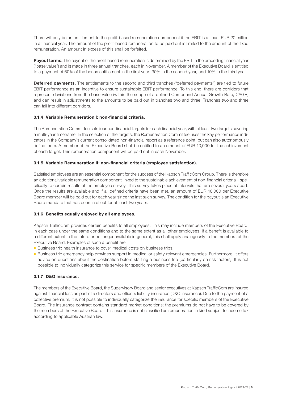There will only be an entitlement to the profit-based remuneration component if the EBIT is at least EUR 20 million in a financial year. The amount of the profit-based remuneration to be paid out is limited to the amount of the fixed remuneration. An amount in excess of this shall be forfeited.

Payout terms. The payout of the profit-based remuneration is determined by the EBIT in the preceding financial year ("base value") and is made in three annual tranches, each in November. A member of the Executive Board is entitled to a payment of 60% of the bonus entitlement in the first year; 30% in the second year, and 10% in the third year.

Deferred payments. The entitlements to the second and third tranches ("deferred payments") are tied to future EBIT performance as an incentive to ensure sustainable EBIT performance. To this end, there are corridors that represent deviations from the base value (within the scope of a defined Compound Annual Growth Rate, CAGR) and can result in adjustments to the amounts to be paid out in tranches two and three. Tranches two and three can fall into different corridors.

### 3.1.4 Variable Remuneration I: non-financial criteria.

The Remuneration Committee sets four non-financial targets for each financial year, with at least two targets covering a multi-year timeframe. In the selection of the targets, the Remuneration Committee uses the key performance indicators in the Company's current consolidated non-financial report as a reference point, but can also autonomously define them. A member of the Executive Board shall be entitled to an amount of EUR 10,000 for the achievement of each target. This remuneration component will be paid out in each November.

# 3.1.5 Variable Remuneration II: non-financial criteria (employee satisfaction).

Satisfied employees are an essential component for the success of the Kapsch TrafficCom Group. There is therefore an additional variable remuneration component linked to the sustainable achievement of non-financial criteria – specifically to certain results of the employee survey. This survey takes place at intervals that are several years apart. Once the results are available and if all defined criteria have been met, an amount of EUR 10,000 per Executive Board member will be paid out for each year since the last such survey. The condition for the payout is an Executive Board mandate that has been in effect for at least two years.

#### 3.1.6 Benefits equally enjoyed by all employees.

Kapsch TrafficCom provides certain benefits to all employees. This may include members of the Executive Board, in each case under the same conditions and to the same extent as all other employees. If a benefit is available to a different extent in the future or no longer available in general, this shall apply analogously to the members of the Executive Board. Examples of such a benefit are:

- Business trip health insurance to cover medical costs on business trips.
- Business trip emergency help provides support in medical or safety-relevant emergencies. Furthermore, it offers advice on questions about the destination before starting a business trip (particularly on risk factors). It is not possible to individually categorize this service for specific members of the Executive Board.

#### 3.1.7 D&O insurance.

The members of the Executive Board, the Supervisory Board and senior executives at Kapsch TrafficCom are insured against financial loss as part of a directors and officers liability insurance (D&O insurance). Due to the payment of a collective premium, it is not possible to individually categorize the insurance for specific members of the Executive Board. The insurance contract contains standard market conditions; the premiums do not have to be covered by the members of the Executive Board. This insurance is not classified as remuneration in kind subject to income tax according to applicable Austrian law.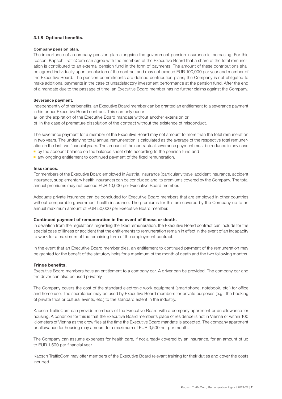### 3.1.8 Optional benefits.

#### Company pension plan.

The importance of a company pension plan alongside the government pension insurance is increasing. For this reason, Kapsch TrafficCom can agree with the members of the Executive Board that a share of the total remuneration is contributed to an external pension fund in the form of payments. The amount of these contributions shall be agreed individually upon conclusion of the contract and may not exceed EUR 100,000 per year and member of the Executive Board. The pension commitments are defined contribution plans; the Company is not obligated to make additional payments in the case of unsatisfactory investment performance at the pension fund. After the end of a mandate due to the passage of time, an Executive Board member has no further claims against the Company.

#### Severance payment.

Independently of other benefits, an Executive Board member can be granted an entitlement to a severance payment in his or her Executive Board contract. This can only occur

- a) on the expiration of the Executive Board mandate without another extension or
- b) in the case of premature dissolution of the contract without the existence of misconduct.

The severance payment for a member of the Executive Board may not amount to more than the total remuneration in two years. The underlying total annual remuneration is calculated as the average of the respective total remuneration in the last two financial years. The amount of the contractual severance payment must be reduced in any case

- by the account balance on the balance sheet date according to the pension fund and
- any ongoing entitlement to continued payment of the fixed remuneration.

#### Insurances.

For members of the Executive Board employed in Austria, insurance (particularly travel accident insurance, accident insurance, supplementary health insurance) can be concluded and its premiums covered by the Company. The total annual premiums may not exceed EUR 10,000 per Executive Board member.

Adequate private insurance can be concluded for Executive Board members that are employed in other countries without comparable government health insurance. The premiums for this are covered by the Company up to an annual maximum amount of EUR 50,000 per Executive Board member.

#### Continued payment of remuneration in the event of illness or death.

In deviation from the regulations regarding the fixed remuneration, the Executive Board contract can include for the special case of illness or accident that the entitlements to remuneration remain in effect in the event of an incapacity to work for a maximum of the remaining term of the employment contract.

In the event that an Executive Board member dies, an entitlement to continued payment of the remuneration may be granted for the benefit of the statutory heirs for a maximum of the month of death and the two following months.

#### Fringe benefits.

Executive Board members have an entitlement to a company car. A driver can be provided. The company car and the driver can also be used privately.

The Company covers the cost of the standard electronic work equipment (smartphone, notebook, etc.) for office and home use. The secretaries may be used by Executive Board members for private purposes (e.g., the booking of private trips or cultural events, etc.) to the standard extent in the industry.

Kapsch TrafficCom can provide members of the Executive Board with a company apartment or an allowance for housing. A condition for this is that the Executive Board member's place of residence is not in Vienna or within 100 kilometers of Vienna as the crow flies at the time the Executive Board mandate is accepted. The company apartment or allowance for housing may amount to a maximum of EUR 3,500 net per month.

The Company can assume expenses for health care, if not already covered by an insurance, for an amount of up to EUR 1,500 per financial year.

Kapsch TrafficCom may offer members of the Executive Board relevant training for their duties and cover the costs incurred.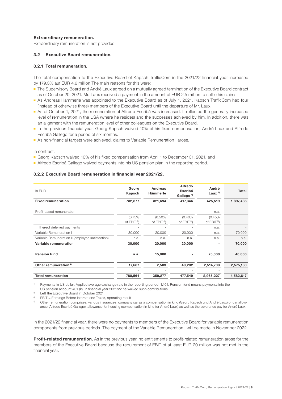#### Extraordinary remuneration.

Extraordinary remuneration is not provided.

# 3.2 Executive Board remuneration.

#### 3.2.1 Total remuneration.

The total compensation to the Executive Board of Kapsch TrafficCom in the 2021/22 financial year increased by 179.3% auf EUR 4.6 million The main reasons for this were:

- The Supervisory Board and André Laux agreed on a mutually agreed termination of the Executive Board contract as of October 20, 2021. Mr. Laux received a payment in the amount of EUR 2.5 million to settle his claims.
- As Andreas Hämmerle was appointed to the Executive Board as of July 1, 2021, Kapsch TrafficCom had four (instead of otherwise three) members of the Executive Board until the departure of Mr. Laux.
- As of October 1, 2021, the remuneration of Alfredo Escribá was increased. It reflected the generally increased level of remuneration in the USA (where he resides) and the successes achieved by him. In addition, there was an alignment with the remuneration level of other colleagues on the Executive Board.
- In the previous financial year, Georg Kapsch waived 10% of his fixed compensation, André Laux and Alfredo Escribá Gallego for a period of six months.
- As non-financial targets were achieved, claims to Variable Remuneration I arose.

In contrast,

- Georg Kapsch waived 10% of his fixed compensation from April 1 to December 31, 2021, and
- Alfredo Escribá Gallego waived payments into his US pension plan in the reporting period.

# 3.2.2 Executive Board remuneration in financial year 2021/22.

| In EUR                                           | Georg<br>Kapsch                   | Andreas<br>Hämmerle             | <b>Alfredo</b><br>Escribá<br>Gallego <sup><math>1</math></sup> | André<br>Laux $2$                 | <b>Total</b> |
|--------------------------------------------------|-----------------------------------|---------------------------------|----------------------------------------------------------------|-----------------------------------|--------------|
| <b>Fixed remuneration</b>                        | 732,877                           | 321,694                         | 417,346                                                        | 425,519                           | 1,897,436    |
| Profit-based remuneration                        |                                   |                                 |                                                                | n.a.                              |              |
|                                                  | (0.75%<br>of $EBIT$ <sup>3)</sup> | (0.50%<br>of EBIT <sup>3)</sup> | (0.40%<br>of $EBIT3$ )                                         | (0.45%<br>of $EBIT$ <sup>3)</sup> |              |
| thereof deferred payments                        |                                   |                                 |                                                                | n.a.                              |              |
| Variable Remuneration I                          | 30,000                            | 20,000                          | 20,000                                                         | n.a.                              | 70,000       |
| Variable Remuneration II (employee satisfaction) | n.a.                              | n.a.                            | n.a.                                                           | n.a.                              | n.a.         |
| Variable remuneration                            | 30,000                            | 20,000                          | 20,000                                                         | ۰                                 | 70,000       |
| <b>Pension fund</b>                              | n.a.                              | 15,000                          |                                                                | 25,000                            | 40,000       |
| Other remuneration <sup>4)</sup>                 | 17,687                            | 2,583                           | 40,202                                                         | 2,514,708                         | 2,575,180    |
| <b>Total remuneration</b>                        | 780,564                           | 359,277                         | 477,549                                                        | 2,965,227                         | 4,582,617    |

<sup>1)</sup> Payments in US dollar. Applied average exchange rate in the reporting period: 1.161. Pension fund means payments into the US pension account 401 (k). In financial year 2021/22 he waived such contributions.

<sup>2)</sup> Left the Executive Board in October 2021.

EBIT = Earnings Before Interest and Taxes, operating result

4) Other remuneration comprises: various insurances, company car as a compensation in kind (Georg Kapsch und André Laux) or car allowance (Alfredo Escribá Gallego), allowance for housing (compensation in kind for André Laux) as well as the severance pay for André Laux.

In the 2021/22 financial year, there were no payments to members of the Executive Board for variable remuneration components from previous periods. The payment of the Variable Remuneration I will be made in November 2022.

Profit-related remuneration. As in the previous year, no entitlements to profit-related remuneration arose for the members of the Executive Board because the requirement of EBIT of at least EUR 20 million was not met in the financial year.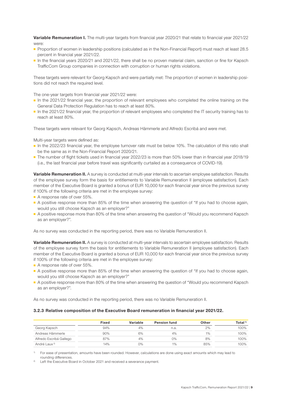Variable Remuneration I. The multi-year targets from financial year 2020/21 that relate to financial year 2021/22 were:

- Proportion of women in leadership positions (calculated as in the Non-Financial Report) must reach at least 28.5 percent in financial year 2021/22.
- In the financial years 2020/21 and 2021/22, there shall be no proven material claim, sanction or fine for Kapsch TrafficCom Group companies in connection with corruption or human rights violations.

These targets were relevant for Georg Kapsch and were partially met: The proportion of women in leadership positions did not reach the required level.

The one-year targets from financial year 2021/22 were:

- In the 2021/22 financial year, the proportion of relevant employees who completed the online training on the General Data Protection Regulation has to reach at least 80%.
- In the 2021/22 financial year, the proportion of relevant employees who completed the IT security training has to reach at least 80%.

These targets were relevant for Georg Kapsch, Andreas Hämmerle and Alfredo Escribá and were met.

Multi-year targets were defined as:

- In the 2022/23 financial year, the employee turnover rate must be below 10%. The calculation of this ratio shall be the same as in the Non-Financial Report 2020/21.
- The number of flight tickets used in financial year 2022/23 is more than 50% lower than in financial year 2018/19 (i.e., the last financial year before travel was significantly curtailed as a consequence of COVID-19).

Variable Remuneration II. A survey is conducted at multi-year intervals to ascertain employee satisfaction. Results of the employee survey form the basis for entitlements to Variable Remuneration II (employee satisfaction). Each member of the Executive Board is granted a bonus of EUR 10,000 for each financial year since the previous survey if 100% of the following criteria are met in the employee survey:

- A response rate of over 55%.
- A positive response more than 85% of the time when answering the question of "If you had to choose again, would you still choose Kapsch as an employer?"
- A positive response more than 80% of the time when answering the question of "Would you recommend Kapsch as an employer?".

As no survey was conducted in the reporting period, there was no Variable Remuneration II.

Variable Remuneration II. A survey is conducted at multi-year intervals to ascertain employee satisfaction. Results of the employee survey form the basis for entitlements to Variable Remuneration II (employee satisfaction). Each member of the Executive Board is granted a bonus of EUR 10,000 for each financial year since the previous survey if 100% of the following criteria are met in the employee survey:

- A response rate of over 55%.
- A positive response more than 85% of the time when answering the question of "If you had to choose again, would you still choose Kapsch as an employer?"
- A positive response more than 80% of the time when answering the question of "Would you recommend Kapsch as an employer?".

As no survey was conducted in the reporting period, there was no Variable Remuneration II.

#### 3.2.3 Relative composition of the Executive Board remuneration in financial year 2021/22.

|                         | Fixed | Variable | <b>Pension fund</b> | Other | Total 1) |
|-------------------------|-------|----------|---------------------|-------|----------|
| Georg Kapsch            | 94%   | 4%       | n.a.                | 2%    | 100%     |
| Andreas Hämmerle        | 90%   | 6%       | 4%                  | $1\%$ | 100%     |
| Alfredo Escribá Gallego | 87%   | 4%       | $0\%$               | 8%    | 100%     |
| André Laux <sup>2</sup> | 14%   | 0%       | 10/2                | 85%   | 100%     |

<sup>1)</sup> For ease of presentation, amounts have been rounded. However, calculations are done using exact amounts which may lead to rounding differences.

Left the Executive Board in October 2021 and received a severance payment.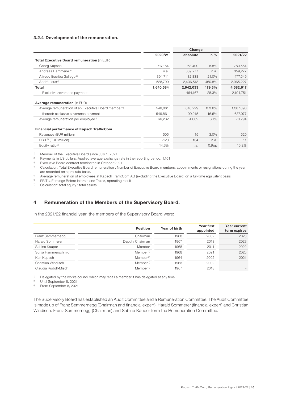#### 3.2.4 Development of the remuneration.

|                                                                 |           | Change    |                   |           |
|-----------------------------------------------------------------|-----------|-----------|-------------------|-----------|
|                                                                 | 2020/21   | absolute  | in $%$            | 2021/22   |
| Total Executive Board remuneration (in EUR)                     |           |           |                   |           |
| Georg Kapsch                                                    | 717,164   | 63,400    | 8.8%              | 780,564   |
| Andreas Hämmerle <sup>1)</sup>                                  | n.a.      | 359,277   | n.a.              | 359,277   |
| Alfredo Escriba Gallego <sup>2)</sup>                           | 394,711   | 82,838    | 21.0%             | 477,549   |
| André Laux <sup>3)</sup>                                        | 528,709   | 2,436,518 | 460.8%            | 2,965,227 |
| Total                                                           | 1,640,584 | 2,942,033 | 179.3%            | 4,582,617 |
| Exclusive severance payment                                     |           | 464,167   | 28.3%             | 2,104,751 |
| <b>Average remuneration (in EUR)</b>                            |           |           |                   |           |
| Average remuneration of an Executive Board member <sup>4)</sup> | 546,861   | 840,229   | 153.6%            | 1,387,090 |
| thereof: exclusive severance payment                            | 546,861   | 90,215    | 16.5%             | 637,077   |
| Average remuneration per employee <sup>5)</sup>                 | 66,232    | 4,062     | 6.1%              | 70,294    |
| <b>Financial performance of Kapsch TrafficCom</b>               |           |           |                   |           |
| Revenues (EUR million)                                          | 505       | 15        | 3.0%              | 520       |
| EBIT <sup>6</sup> (EUR million)                                 | $-123$    | 134       | n.a.              | 11        |
| Equity ratio <sup>7)</sup>                                      | 14.3%     | n.a.      | 0.9 <sub>pp</sub> | 15.2%     |

1) Member of the Executive Board since July 1, 2021

<sup>2)</sup> Payments in US dollars. Applied average exchange rate in the reporting period: 1.161

3) Executive Board contract terminated in October 2021

4) Calculation: Total Executive Board remuneration : Number of Executive Board members; appointments or resignations during the year are recorded on a pro-rata basis.

 $5$  Average remuneration of employees at Kapsch TrafficCom AG (excluding the Executive Board) on a full-time equivalent basis

<sup>6)</sup> EBIT = Earnings Before Interest and Taxes, operating result

7) Calculation: total equity : total assets

# 4 Remuneration of the Members of the Supervisory Board.

In the 2021/22 financial year, the members of the Supervisory Board were:

|                      | <b>Position</b>      | Year of birth | Year first<br>appointed | Year current<br>term expires |
|----------------------|----------------------|---------------|-------------------------|------------------------------|
| Franz Semmernegg     | Chairman             | 1968          | 2002                    | 2023                         |
| Harald Sommerer      | Deputy Chairman      | 1967          | 2013                    | 2023                         |
| Sabine Kauper        | Member               | 1968          | 2011                    | 2022                         |
| Sonja Hammerschmid   | Member <sup>3)</sup> | 1968          | 2021                    | 2025                         |
| Kari Kapsch          | Member <sup>2)</sup> | 1964          | 2002                    | 2021                         |
| Christian Windisch   | Member <sup>1)</sup> | 1963          | 2002                    |                              |
| Claudia Rudolf-Misch | Member <sup>1)</sup> | 1967          | 2018                    |                              |

<sup>1)</sup> Delegated by the works council which may recall a member it has delegated at any time

2) Until September 8, 2021

<sup>3)</sup> From September 8, 2021

The Supervisory Board has established an Audit Committee and a Remuneration Committee. The Audit Committee is made up of Franz Semmernegg (Chairman and financial expert), Harald Sommerer (financial expert) and Christian Windisch. Franz Semmernegg (Chairman) and Sabine Kauper form the Remuneration Committee.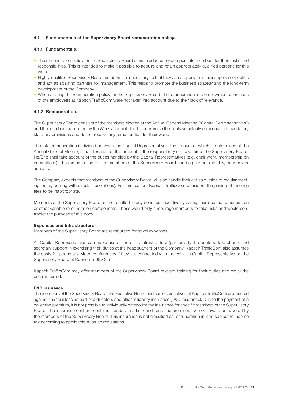# 4.1 Fundamentals of the Supervisory Board remuneration policy.

### 4.1.1 Fundamentals.

- The remuneration policy for the Supervisory Board aims to adequately compensate members for their tasks and responsibilities. This is intended to make it possible to acquire and retain appropriately qualified persons for this work.
- Highly-qualified Supervisory Board members are necessary so that they can properly fulfill their supervisory duties and act as sparring partners for management. This helps to promote the business strategy and the long-term development of the Company.
- When drafting the remuneration policy for the Supervisory Board, the remuneration and employment conditions of the employees at Kapsch TrafficCom were not taken into account due to their lack of relevance.

### 4.1.2 Remuneration.

The Supervisory Board consists of the members elected at the Annual General Meeting ("Capital Representatives") and the members appointed by the Works Council. The latter exercise their duty voluntarily on account of mandatory statutory provisions and do not receive any remuneration for their work.

The total remuneration is divided between the Capital Representatives, the amount of which is determined at the Annual General Meeting. The allocation of this amount is the responsibility of the Chair of the Supervisory Board. He/She shall take account of the duties handled by the Capital Representatives (e.g. chair work, membership on committees). The remuneration for the members of the Supervisory Board can be paid out monthly, quarterly or annually.

The Company expects that members of the Supervisory Board will also handle their duties outside of regular meetings (e.g., dealing with circular resolutions). For this reason, Kapsch TrafficCom considers the paying of meeting fees to be inappropriate.

Members of the Supervisory Board are not entitled to any bonuses, incentive systems, share-based remuneration or other variable remuneration components. These would only encourage members to take risks and would contradict the purpose of this body.

#### Expenses and Infrastructure.

Members of the Supervisory Board are reimbursed for travel expenses.

All Capital Representatives can make use of the office infrastructure (particularly the printers, fax, phone) and secretary support in exercising their duties at the headquarters of the Company. Kapsch TrafficCom also assumes the costs for phone and video conferences if they are connected with the work as Capital Representative on the Supervisory Board at Kapsch TrafficCom.

Kapsch TrafficCom may offer members of the Supervisory Board relevant training for their duties and cover the costs incurred.

#### D&O insurance.

The members of the Supervisory Board, the Executive Board and senior executives at Kapsch TrafficCom are insured against financial loss as part of a directors and officers liability insurance (D&O insurance). Due to the payment of a collective premium, it is not possible to individually categorize the insurance for specific members of the Supervisory Board. The insurance contract contains standard market conditions; the premiums do not have to be covered by the members of the Supervisory Board. This insurance is not classified as remuneration in kind subject to income tax according to applicable Austrian regulations.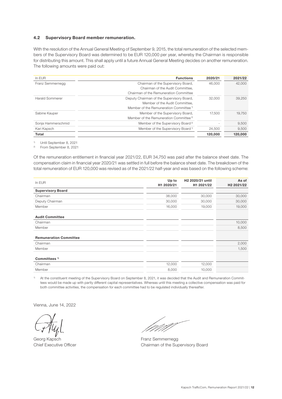#### 4.2 Supervisory Board member remuneration.

With the resolution of the Annual General Meeting of September 9, 2015, the total remuneration of the selected members of the Supervisory Board was determined to be EUR 120,000 per year, whereby the Chairman is responsible for distributing this amount. This shall apply until a future Annual General Meeting decides on another remuneration. The following amounts were paid out:

| In EUR             | <b>Functions</b>                                   | 2020/21 | 2021/22 |
|--------------------|----------------------------------------------------|---------|---------|
| Franz Semmernegg   | Chairman of the Supervisory Board,                 | 46,000  | 42.000  |
|                    | Chairman of the Audit Committee.                   |         |         |
|                    | Chairman of the Remuneration Committee             |         |         |
| Harald Sommerer    | Deputy Chairman of the Supervisory Board,          | 32,000  | 39.250  |
|                    | Member of the Audit Committee.                     |         |         |
|                    | Member of the Remuneration Committee <sup>1)</sup> |         |         |
| Sabine Kauper      | Member of the Supervisory Board,                   | 17.500  | 19.750  |
|                    | Member of the Remuneration Committee <sup>2)</sup> |         |         |
| Sonja Hammerschmid | Member of the Supervisory Board <sup>2)</sup>      | ٠       | 9.500   |
| Kari Kapsch        | Member of the Supervisory Board <sup>1)</sup>      | 24.500  | 9.500   |
| <b>Total</b>       |                                                    | 120,000 | 120,000 |

1) Until September 8, 2021

2) From September 8, 2021

Of the remuneration entitlement in financial year 2021/22, EUR 34,750 was paid after the balance sheet date. The compensation claim in financial year 2020/21 was settled in full before the balance sheet date. The breakdown of the total remuneration of EUR 120,000 was revised as of the 2021/22 half-year and was based on the following scheme:

| In EUR                        | Up to<br>H1 2020/21 | H <sub>2</sub> 2020/21 until<br>H1 2021/22 | As of<br>H <sub>2</sub> 2021/22 |
|-------------------------------|---------------------|--------------------------------------------|---------------------------------|
| <b>Supervisory Board</b>      |                     |                                            |                                 |
| Chairman                      | 38,000              | 30,000                                     | 30,000                          |
| Deputy Chairman               | 30,000              | 30,000                                     | 30,000                          |
| Member                        | 16,000              | 19,000                                     | 19,000                          |
| <b>Audit Committee</b>        |                     |                                            |                                 |
| Chairman                      |                     |                                            | 10,000                          |
| Member                        |                     |                                            | 8,500                           |
| <b>Remuneration Committee</b> |                     |                                            |                                 |
| Chairman                      |                     |                                            | 2,000                           |
| Member                        |                     |                                            | 1,500                           |
| Committees <sup>1)</sup>      |                     |                                            |                                 |
| Chairman                      | 12,000              | 12,000                                     |                                 |
| Member                        | 8,000               | 10,000                                     |                                 |

<sup>1)</sup> At the constituent meeting of the Supervisory Board on September 8, 2021, it was decided that the Audit and Remuneration Committees would be made up with partly different capital representatives. Whereas until this meeting a collective compensation was paid for both committee activities, the compensation for each committee had to be regulated individually thereafter.

Vienna, June 14, 2022

Georg Kapsch **Franz Semmernegg Franz Semmernegg** 

Chief Executive Officer Chairman of the Supervisory Board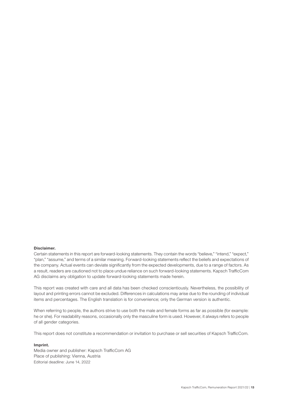#### Disclaimer.

Certain statements in this report are forward-looking statements. They contain the words "believe," "intend," "expect," "plan," "assume," and terms of a similar meaning. Forward-looking statements reflect the beliefs and expectations of the company. Actual events can deviate significantly from the expected developments, due to a range of factors. As a result, readers are cautioned not to place undue reliance on such forward-looking statements. Kapsch TrafficCom AG disclaims any obligation to update forward-looking statements made herein.

This report was created with care and all data has been checked conscientiously. Nevertheless, the possibility of layout and printing errors cannot be excluded. Differences in calculations may arise due to the rounding of individual items and percentages. The English translation is for convenience; only the German version is authentic.

When referring to people, the authors strive to use both the male and female forms as far as possible (for example: he or she). For readability reasons, occasionally only the masculine form is used. However, it always refers to people of all gender categories.

This report does not constitute a recommendation or invitation to purchase or sell securities of Kapsch TrafficCom.

# Imprint.

Media owner and publisher: Kapsch TrafficCom AG Place of publishing: Vienna, Austria Editorial deadline: June 14, 2022